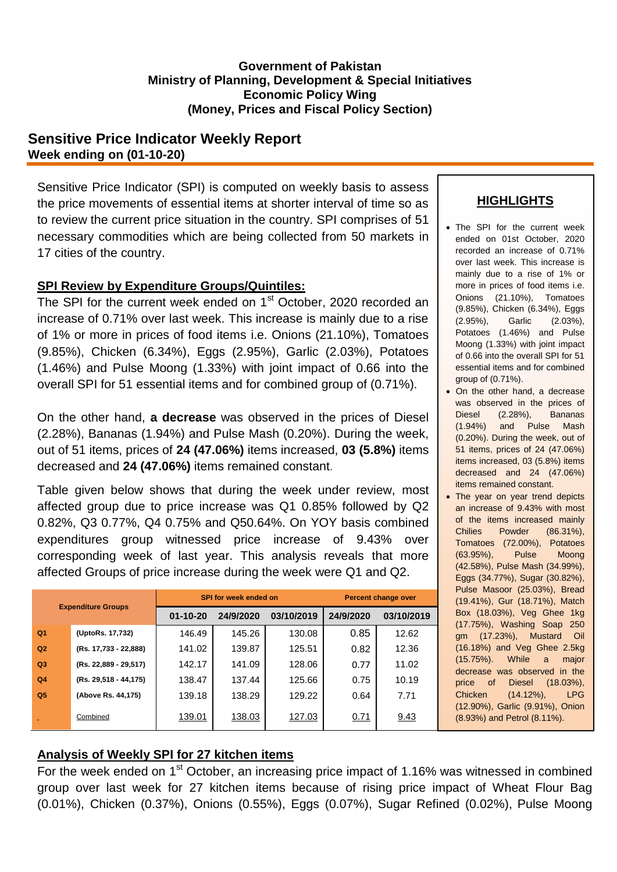#### **Government of Pakistan Ministry of Planning, Development & Special Initiatives Economic Policy Wing (Money, Prices and Fiscal Policy Section)**

## **Sensitive Price Indicator Weekly Report Week ending on (01-10-20)**

Sensitive Price Indicator (SPI) is computed on weekly basis to assess the price movements of essential items at shorter interval of time so as to review the current price situation in the country. SPI comprises of 51 necessary commodities which are being collected from 50 markets in 17 cities of the country.

## **SPI Review by Expenditure Groups/Quintiles:**

The SPI for the current week ended on 1<sup>st</sup> October, 2020 recorded an increase of 0.71% over last week. This increase is mainly due to a rise of 1% or more in prices of food items i.e. Onions (21.10%), Tomatoes (9.85%), Chicken (6.34%), Eggs (2.95%), Garlic (2.03%), Potatoes (1.46%) and Pulse Moong (1.33%) with joint impact of 0.66 into the overall SPI for 51 essential items and for combined group of (0.71%).

On the other hand, **a decrease** was observed in the prices of Diesel (2.28%), Bananas (1.94%) and Pulse Mash (0.20%). During the week, out of 51 items, prices of **24 (47.06%)** items increased, **03 (5.8%)** items decreased and **24 (47.06%)** items remained constant.

Table given below shows that during the week under review, most affected group due to price increase was Q1 0.85% followed by Q2 0.82%, Q3 0.77%, Q4 0.75% and Q50.64%. On YOY basis combined expenditures group witnessed price increase of 9.43% over corresponding week of last year. This analysis reveals that more affected Groups of price increase during the week were Q1 and Q2.

| <b>Expenditure Groups</b> |                         |                | SPI for week ended on | <b>Percent change over</b> |           |            |
|---------------------------|-------------------------|----------------|-----------------------|----------------------------|-----------|------------|
|                           |                         | $01 - 10 - 20$ | 24/9/2020             | 03/10/2019                 | 24/9/2020 | 03/10/2019 |
| Q <sub>1</sub>            | (UptoRs. 17,732)        | 146.49         | 145.26                | 130.08                     | 0.85      | 12.62      |
| Q <sub>2</sub>            | (Rs. 17,733 - 22,888)   | 141.02         | 139.87                | 125.51                     | 0.82      | 12.36      |
| Q <sub>3</sub>            | (Rs. 22,889 - 29,517)   | 142.17         | 141.09                | 128.06                     | 0.77      | 11.02      |
| Q <sub>4</sub>            | $(Rs. 29,518 - 44,175)$ | 138.47         | 137.44                | 125.66                     | 0.75      | 10.19      |
| Q <sub>5</sub>            | (Above Rs. 44,175)      | 139.18         | 138.29                | 129.22                     | 0.64      | 7.71       |
|                           | Combined                | 139.01         | 138.03                | 127.03                     | 0.71      | 9.43       |

# **HIGHLIGHTS**

- The SPI for the current week ended on 01st October, 2020 recorded an increase of 0.71% over last week. This increase is mainly due to a rise of 1% or more in prices of food items i.e. Onions (21.10%), Tomatoes (9.85%), Chicken (6.34%), Eggs (2.95%), Garlic (2.03%), Potatoes (1.46%) and Pulse Moong (1.33%) with joint impact of 0.66 into the overall SPI for 51 essential items and for combined group of (0.71%).
- On the other hand, a decrease was observed in the prices of Diesel (2.28%), Bananas (1.94%) and Pulse Mash (0.20%). During the week, out of 51 items, prices of 24 (47.06%) items increased, 03 (5.8%) items decreased and 24 (47.06%) items remained constant.
- The year on year trend depicts an increase of 9.43% with most of the items increased mainly Chilies Powder (86.31%), Tomatoes (72.00%), Potatoes (63.95%), Pulse Moong (42.58%), Pulse Mash (34.99%), Eggs (34.77%), Sugar (30.82%), Pulse Masoor (25.03%), Bread (19.41%), Gur (18.71%), Match Box (18.03%), Veg Ghee 1kg (17.75%), Washing Soap 250 gm (17.23%), Mustard Oil (16.18%) and Veg Ghee 2.5kg (15.75%). While a major decrease was observed in the price of Diesel (18.03%), Chicken (14.12%), LPG (12.90%), Garlic (9.91%), Onion (8.93%) and Petrol (8.11%).

## **Analysis of Weekly SPI for 27 kitchen items**

For the week ended on  $1<sup>st</sup>$  October, an increasing price impact of 1.16% was witnessed in combined group over last week for 27 kitchen items because of rising price impact of Wheat Flour Bag (0.01%), Chicken (0.37%), Onions (0.55%), Eggs (0.07%), Sugar Refined (0.02%), Pulse Moong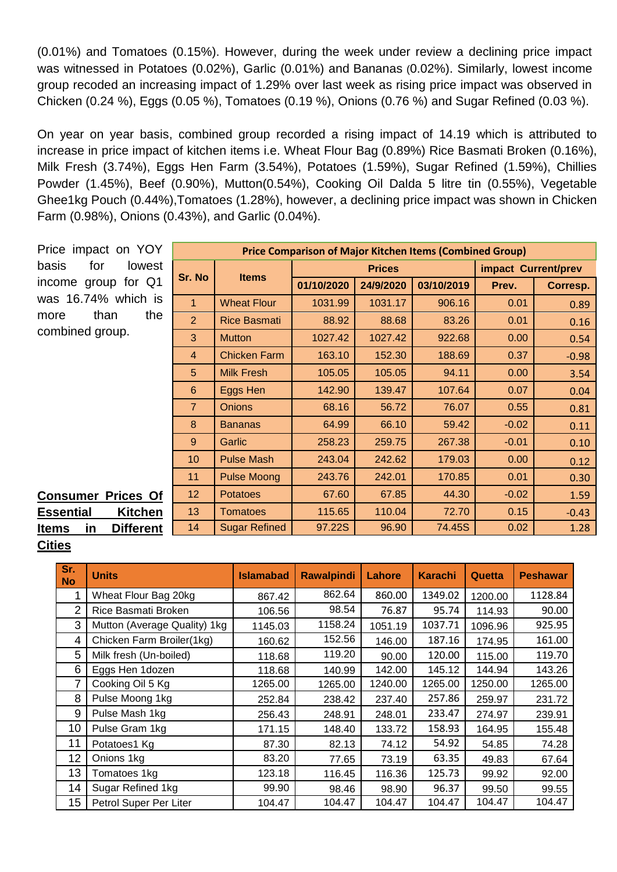(0.01%) and Tomatoes (0.15%). However, during the week under review a declining price impact was witnessed in Potatoes (0.02%), Garlic (0.01%) and Bananas (0.02%). Similarly, lowest income group recoded an increasing impact of 1.29% over last week as rising price impact was observed in Chicken (0.24 %), Eggs (0.05 %), Tomatoes (0.19 %), Onions (0.76 %) and Sugar Refined (0.03 %).

On year on year basis, combined group recorded a rising impact of 14.19 which is attributed to increase in price impact of kitchen items i.e. Wheat Flour Bag (0.89%) Rice Basmati Broken (0.16%), Milk Fresh (3.74%), Eggs Hen Farm (3.54%), Potatoes (1.59%), Sugar Refined (1.59%), Chillies Powder (1.45%), Beef (0.90%), Mutton(0.54%), Cooking Oil Dalda 5 litre tin (0.55%), Vegetable Ghee1kg Pouch (0.44%),Tomatoes (1.28%), however, a declining price impact was shown in Chicken Farm (0.98%), Onions (0.43%), and Garlic (0.04%).

| Price impact on YOY                    | <b>Price Comparison of Major Kitchen Items (Combined Group)</b> |                      |            |               |                     |         |          |  |
|----------------------------------------|-----------------------------------------------------------------|----------------------|------------|---------------|---------------------|---------|----------|--|
| basis<br>for<br>lowest                 | Sr. No                                                          | <b>Items</b>         |            | <b>Prices</b> | impact Current/prev |         |          |  |
| income group for Q1                    |                                                                 |                      | 01/10/2020 | 24/9/2020     | 03/10/2019          | Prev.   | Corresp. |  |
| was 16.74% which is                    |                                                                 | <b>Wheat Flour</b>   | 1031.99    | 1031.17       | 906.16              | 0.01    | 0.89     |  |
| than<br>the<br>more                    | $\overline{2}$                                                  | <b>Rice Basmati</b>  | 88.92      | 88.68         | 83.26               | 0.01    | 0.16     |  |
| combined group.                        | 3                                                               | <b>Mutton</b>        | 1027.42    | 1027.42       | 922.68              | 0.00    | 0.54     |  |
|                                        | $\overline{4}$                                                  | <b>Chicken Farm</b>  | 163.10     | 152.30        | 188.69              | 0.37    | $-0.98$  |  |
|                                        | 5                                                               | <b>Milk Fresh</b>    | 105.05     | 105.05        | 94.11               | 0.00    | 3.54     |  |
|                                        | 6                                                               | Eggs Hen             | 142.90     | 139.47        | 107.64              | 0.07    | 0.04     |  |
|                                        | $\overline{7}$                                                  | <b>Onions</b>        | 68.16      | 56.72         | 76.07               | 0.55    | 0.81     |  |
|                                        | 8                                                               | <b>Bananas</b>       | 64.99      | 66.10         | 59.42               | $-0.02$ | 0.11     |  |
|                                        | 9                                                               | <b>Garlic</b>        | 258.23     | 259.75        | 267.38              | $-0.01$ | 0.10     |  |
|                                        | 10                                                              | <b>Pulse Mash</b>    | 243.04     | 242.62        | 179.03              | 0.00    | 0.12     |  |
|                                        | 11                                                              | <b>Pulse Moong</b>   | 243.76     | 242.01        | 170.85              | 0.01    | 0.30     |  |
| <b>Consumer Prices Of</b>              | 12 <sub>2</sub>                                                 | <b>Potatoes</b>      | 67.60      | 67.85         | 44.30               | $-0.02$ | 1.59     |  |
| <b>Kitchen</b><br><b>Essential</b>     | 13                                                              | <b>Tomatoes</b>      | 115.65     | 110.04        | 72.70               | 0.15    | $-0.43$  |  |
| <b>Different</b><br>in<br><b>Items</b> | 14                                                              | <b>Sugar Refined</b> | 97.22S     | 96.90         | 74.45S              | 0.02    | 1.28     |  |

**Cities**

| Sr.<br><b>No</b> | <b>Units</b>                 | <b>Islamabad</b> | <b>Rawalpindi</b> | <b>Lahore</b> | <b>Karachi</b> | Quetta  | <b>Peshawar</b> |
|------------------|------------------------------|------------------|-------------------|---------------|----------------|---------|-----------------|
| 1                | Wheat Flour Bag 20kg         | 867.42           | 862.64            | 860.00        | 1349.02        | 1200.00 | 1128.84         |
| $\overline{2}$   | Rice Basmati Broken          | 106.56           | 98.54             | 76.87         | 95.74          | 114.93  | 90.00           |
| 3                | Mutton (Average Quality) 1kg | 1145.03          | 1158.24           | 1051.19       | 1037.71        | 1096.96 | 925.95          |
| 4                | Chicken Farm Broiler(1kg)    | 160.62           | 152.56            | 146.00        | 187.16         | 174.95  | 161.00          |
| 5                | Milk fresh (Un-boiled)       | 118.68           | 119.20            | 90.00         | 120.00         | 115.00  | 119.70          |
| 6                | Eggs Hen 1dozen              | 118.68           | 140.99            | 142.00        | 145.12         | 144.94  | 143.26          |
| 7                | Cooking Oil 5 Kg             | 1265.00          | 1265.00           | 1240.00       | 1265.00        | 1250.00 | 1265.00         |
| 8                | Pulse Moong 1kg              | 252.84           | 238.42            | 237.40        | 257.86         | 259.97  | 231.72          |
| 9                | Pulse Mash 1kg               | 256.43           | 248.91            | 248.01        | 233.47         | 274.97  | 239.91          |
| 10               | Pulse Gram 1kg               | 171.15           | 148.40            | 133.72        | 158.93         | 164.95  | 155.48          |
| 11               | Potatoes1 Kg                 | 87.30            | 82.13             | 74.12         | 54.92          | 54.85   | 74.28           |
| 12               | Onions 1kg                   | 83.20            | 77.65             | 73.19         | 63.35          | 49.83   | 67.64           |
| 13               | Tomatoes 1kg                 | 123.18           | 116.45            | 116.36        | 125.73         | 99.92   | 92.00           |
| 14               | Sugar Refined 1kg            | 99.90            | 98.46             | 98.90         | 96.37          | 99.50   | 99.55           |
| 15               | Petrol Super Per Liter       | 104.47           | 104.47            | 104.47        | 104.47         | 104.47  | 104.47          |